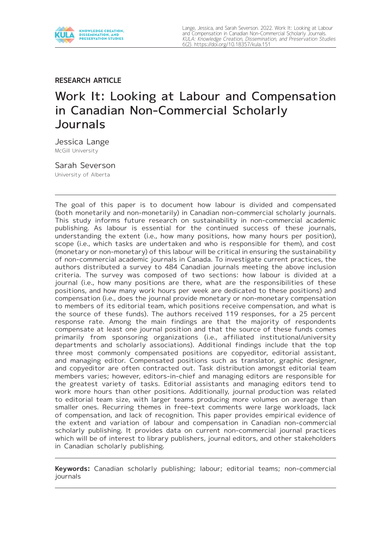

# **RESEARCH ARTICLE**

# Work It: Looking at Labour and Compensation in Canadian Non-Commercial Scholarly Journals

Jessica Lange McGill University

Sarah Severson University of Alberta

The goal of this paper is to document how labour is divided and compensated (both monetarily and non-monetarily) in Canadian non-commercial scholarly journals. This study informs future research on sustainability in non-commercial academic publishing. As labour is essential for the continued success of these journals, understanding the extent (i.e., how many positions, how many hours per position), scope (i.e., which tasks are undertaken and who is responsible for them), and cost (monetary or non-monetary) of this labour will be critical in ensuring the sustainability of non-commercial academic journals in Canada. To investigate current practices, the authors distributed a survey to 484 Canadian journals meeting the above inclusion criteria. The survey was composed of two sections: how labour is divided at a journal (i.e., how many positions are there, what are the responsibilities of these positions, and how many work hours per week are dedicated to these positions) and compensation (i.e., does the journal provide monetary or non-monetary compensation to members of its editorial team, which positions receive compensation, and what is the source of these funds). The authors received 119 responses, for a 25 percent response rate. Among the main findings are that the majority of respondents compensate at least one journal position and that the source of these funds comes primarily from sponsoring organizations (i.e., affiliated institutional/university departments and scholarly associations). Additional findings include that the top three most commonly compensated positions are copyeditor, editorial assistant, and managing editor. Compensated positions such as translator, graphic designer, and copyeditor are often contracted out. Task distribution amongst editorial team members varies; however, editors-in-chief and managing editors are responsible for the greatest variety of tasks. Editorial assistants and managing editors tend to work more hours than other positions. Additionally, journal production was related to editorial team size, with larger teams producing more volumes on average than smaller ones. Recurring themes in free-text comments were large workloads, lack of compensation, and lack of recognition. This paper provides empirical evidence of the extent and variation of labour and compensation in Canadian non-commercial scholarly publishing. It provides data on current non-commercial journal practices which will be of interest to library publishers, journal editors, and other stakeholders in Canadian scholarly publishing.

**Keywords:** Canadian scholarly publishing; labour; editorial teams; non-commercial journals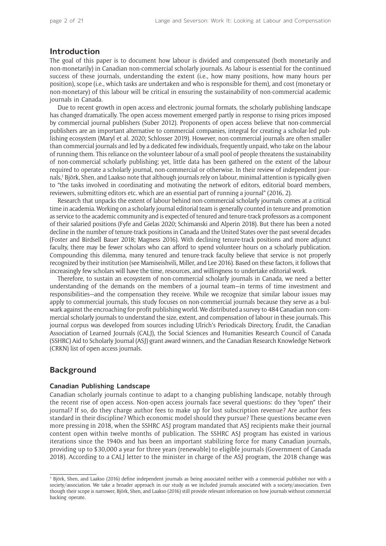# **Introduction**

The goal of this paper is to document how labour is divided and compensated (both monetarily and non-monetarily) in Canadian non-commercial scholarly journals. As labour is essential for the continued success of these journals, understanding the extent (i.e., how many positions, how many hours per position), scope (i.e., which tasks are undertaken and who is responsible for them), and cost (monetary or non-monetary) of this labour will be critical in ensuring the sustainability of non-commercial academic journals in Canada.

Due to recent growth in open access and electronic journal formats, the scholarly publishing landscape has changed dramatically. The open access movement emerged partly in response to rising prices imposed by commercial journal publishers (Suber 2012). Proponents of open access believe that non-commercial publishers are an important alternative to commercial companies, integral for creating a scholar-led publishing ecosystem (Maryl et al. 2020; Schlosser 2019). However, non-commercial journals are often smaller than commercial journals and led by a dedicated few individuals, frequently unpaid, who take on the labour of running them. This reliance on the volunteer labour of a small pool of people threatens the sustainability of non-commercial scholarly publishing; yet, little data has been gathered on the extent of the labour required to operate a scholarly journal, non-commercial or otherwise. In their review of independent journals,1 Björk, Shen, and Laakso note that although journals rely on labour, minimal attention is typically given to "the tasks involved in coordinating and motivating the network of editors, editorial board members, reviewers, submitting editors etc. which are an essential part of running a journal" (2016, 2).

Research that unpacks the extent of labour behind non-commercial scholarly journals comes at a critical time in academia. Working on a scholarly journal editorial team is generally counted in tenure and promotion as service to the academic community and is expected of tenured and tenure-track professors as a component of their salaried positions (Fyfe and Gielas 2020; Schimanski and Alperin 2018). But there has been a noted decline in the number of tenure-track positions in Canada and the United States over the past several decades (Foster and Birdsell Bauer 2018; Magness 2016). With declining tenure-track positions and more adjunct faculty, there may be fewer scholars who can afford to spend volunteer hours on a scholarly publication. Compounding this dilemma, many tenured and tenure-track faculty believe that service is not properly recognized by their institution (see Mamiseishvili, Miller, and Lee 2016). Based on these factors, it follows that increasingly few scholars will have the time, resources, and willingness to undertake editorial work.

Therefore, to sustain an ecosystem of non-commercial scholarly journals in Canada, we need a better understanding of the demands on the members of a journal team—in terms of time investment and responsibilities—and the compensation they receive. While we recognize that similar labour issues may apply to commercial journals, this study focuses on non-commercial journals because they serve as a bulwark against the encroaching for-profit publishing world. We distributed a survey to 484 Canadian non-commercial scholarly journals to understand the size, extent, and compensation of labour in these journals. This journal corpus was developed from sources including Ulrich's Periodicals Directory, Érudit, the Canadian Association of Learned Journals (CALJ), the Social Sciences and Humanities Research Council of Canada (SSHRC) Aid to Scholarly Journal (ASJ) grant award winners, and the Canadian Research Knowledge Network (CRKN) list of open access journals.

# **Background**

# **Canadian Publishing Landscape**

Canadian scholarly journals continue to adapt to a changing publishing landscape, notably through the recent rise of open access. Non-open access journals face several questions: do they "open" their journal? If so, do they charge author fees to make up for lost subscription revenue? Are author fees standard in their discipline? Which economic model should they pursue? These questions became even more pressing in 2018, when the SSHRC ASJ program mandated that ASJ recipients make their journal content open within twelve months of publication. The SSHRC ASJ program has existed in various iterations since the 1940s and has been an important stabilizing force for many Canadian journals, providing up to \$30,000 a year for three years (renewable) to eligible journals (Government of Canada 2018). According to a CALJ letter to the minister in charge of the ASJ program, the 2018 change was

<sup>1</sup> Björk, Shen, and Laakso (2016) define independent journals as being associated neither with a commercial publisher nor with a society/association. We take a broader approach in our study as we included journals associated with a society/association. Even though their scope is narrower, Björk, Shen, and Laakso (2016) still provide relevant information on how journals without commercial backing operate.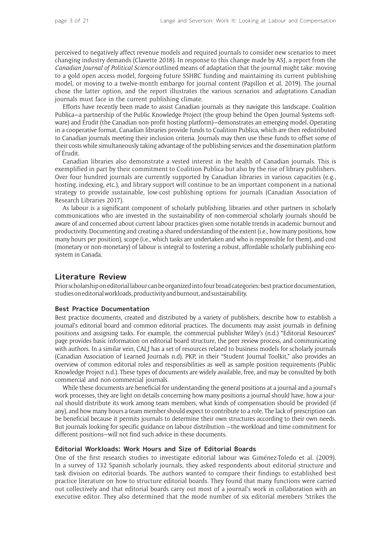perceived to negatively affect revenue models and required journals to consider new scenarios to meet changing industry demands (Clavette 2018). In response to this change made by ASJ, a report from the *Canadian Journal of Political Science* outlined means of adaptation that the journal might take: moving to a gold open access model, forgoing future SSHRC funding and maintaining its current publishing model, or moving to a twelve-month embargo for journal content (Papillon et al. 2019). The journal chose the latter option, and the report illustrates the various scenarios and adaptations Canadian journals must face in the current publishing climate.

Efforts have recently been made to assist Canadian journals as they navigate this landscape. Coalition Publica—a partnership of the Public Knowledge Project (the group behind the Open Journal Systems software) and Érudit (the Canadian non-profit hosting platform)—demonstrates an emerging model. Operating in a cooperative format, Canadian libraries provide funds to Coalition Publica, which are then redistributed to Canadian journals meeting their inclusion criteria. Journals may then use these funds to offset some of their costs while simultaneously taking advantage of the publishing services and the dissemination platform of Érudit.

Canadian libraries also demonstrate a vested interest in the health of Canadian journals. This is exemplified in part by their commitment to Coalition Publica but also by the rise of library publishers. Over four hundred journals are currently supported by Canadian libraries in various capacities (e.g., hosting, indexing, etc.), and library support will continue to be an important component in a national strategy to provide sustainable, low-cost publishing options for journals (Canadian Association of Research Libraries 2017).

As labour is a significant component of scholarly publishing, libraries and other partners in scholarly communications who are invested in the sustainability of non-commercial scholarly journals should be aware of and concerned about current labour practices given some notable trends in academic burnout and productivity. Documenting and creating a shared understanding of the extent (i.e., how many positions, how many hours per position), scope (i.e., which tasks are undertaken and who is responsible for them), and cost (monetary or non-monetary) of labour is integral to fostering a robust, affordable scholarly publishing ecosystem in Canada.

# **Literature Review**

Prior scholarship on editorial labour can be organized into four broad categories: best practice documentation, studies on editorial workloads, productivity and burnout, and sustainability.

# **Best Practice Documentation**

Best practice documents, created and distributed by a variety of publishers, describe how to establish a journal's editorial board and common editorial practices. The documents may assist journals in defining positions and assigning tasks. For example, the commercial publisher Wiley's (n.d.) "Editorial Resources" page provides basic information on editorial board structure, the peer review process, and communicating with authors. In a similar vein, CALJ has a set of resources related to business models for scholarly journals (Canadian Association of Learned Journals n.d). PKP, in their "Student Journal Toolkit," also provides an overview of common editorial roles and responsibilities as well as sample position requirements (Public Knowledge Project n.d.). These types of documents are widely available, free, and may be consulted by both commercial and non-commercial journals.

While these documents are beneficial for understanding the general positions at a journal and a journal's work processes, they are light on details concerning how many positions a journal should have, how a journal should distribute its work among team members, what kinds of compensation should be provided (if any), and how many hours a team member should expect to contribute to a role. The lack of prescription can be beneficial because it permits journals to determine their own structures according to their own needs. But journals looking for specific guidance on labour distribution —the workload and time commitment for different positions—will not find such advice in these documents.

#### **Editorial Workloads: Work Hours and Size of Editorial Boards**

One of the first research studies to investigate editorial labour was Giménez-Toledo et al. (2009). In a survey of 132 Spanish scholarly journals, they asked respondents about editorial structure and task division on editorial boards. The authors wanted to compare their findings to established best practice literature on how to structure editorial boards. They found that many functions were carried out collectively and that editorial boards carry out most of a journal's work in collaboration with an executive editor. They also determined that the mode number of six editorial members "strikes the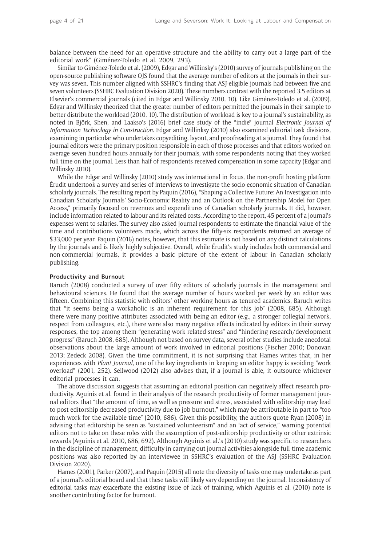balance between the need for an operative structure and the ability to carry out a large part of the editorial work" (Giménez-Toledo et al. 2009, 293).

Similar to Giménez-Toledo et al. (2009), Edgar and Willinsky's (2010) survey of journals publishing on the open-source publishing software OJS found that the average number of editors at the journals in their survey was seven. This number aligned with SSHRC's finding that ASJ-eligible journals had between five and seven volunteers (SSHRC Evaluation Division 2020). These numbers contrast with the reported 3.5 editors at Elsevier's commercial journals (cited in Edgar and Willinsky 2010, 10). Like Giménez-Toledo et al. (2009), Edgar and Willinsky theorized that the greater number of editors permitted the journals in their sample to better distribute the workload (2010, 10). The distribution of workload is key to a journal's sustainability, as noted in Björk, Shen, and Laakso's (2016) brief case study of the "indie" journal *Electronic Journal of Information Technology in Construction*. Edgar and Willinksy (2010) also examined editorial task divisions, examining in particular who undertakes copyediting, layout, and proofreading at a journal. They found that journal editors were the primary position responsible in each of those processes and that editors worked on average seven hundred hours annually for their journals, with some respondents noting that they worked full time on the journal. Less than half of respondents received compensation in some capacity (Edgar and Willinsky 2010).

While the Edgar and Willinsky (2010) study was international in focus, the non-profit hosting platform Érudit undertook a survey and series of interviews to investigate the socio-economic situation of Canadian scholarly journals. The resulting report by Paquin (2016), "Shaping a Collective Future: An Investigation into Canadian Scholarly Journals' Socio-Economic Reality and an Outlook on the Partnership Model for Open Access," primarily focused on revenues and expenditures of Canadian scholarly journals. It did, however, include information related to labour and its related costs. According to the report, 45 percent of a journal's expenses went to salaries. The survey also asked journal respondents to estimate the financial value of the time and contributions volunteers made, which across the fifty-six respondents returned an average of \$33,000 per year. Paquin (2016) notes, however, that this estimate is not based on any distinct calculations by the journals and is likely highly subjective. Overall, while Érudit's study includes both commercial and non-commercial journals, it provides a basic picture of the extent of labour in Canadian scholarly publishing.

#### **Productivity and Burnout**

Baruch (2008) conducted a survey of over fifty editors of scholarly journals in the management and behavioural sciences. He found that the average number of hours worked per week by an editor was fifteen. Combining this statistic with editors' other working hours as tenured academics, Baruch writes that "it seems being a workaholic is an inherent requirement for this job" (2008, 685). Although there were many positive attributes associated with being an editor (e.g., a stronger collegial network, respect from colleagues, etc.), there were also many negative effects indicated by editors in their survey responses, the top among them "generating work related-stress" and "hindering research/development progress" (Baruch 2008, 685). Although not based on survey data, several other studies include anecdotal observations about the large amount of work involved in editorial positions (Fischer 2010; Donovan 2013; Zedeck 2008). Given the time commitment, it is not surprising that Hames writes that, in her experiences with *Plant Journal*, one of the key ingredients in keeping an editor happy is avoiding "work overload" (2001, 252). Sellwood (2012) also advises that, if a journal is able, it outsource whichever editorial processes it can.

The above discussion suggests that assuming an editorial position can negatively affect research productivity. Aguinis et al. found in their analysis of the research productivity of former management journal editors that "the amount of time, as well as pressure and stress, associated with editorship may lead to post editorship decreased productivity due to job burnout," which may be attributable in part to "too much work for the available time" (2010, 686). Given this possibility, the authors quote Ryan (2008) in advising that editorship be seen as "sustained volunteerism" and an "act of service," warning potential editors not to take on these roles with the assumption of post-editorship productivity or other extrinsic rewards (Aguinis et al. 2010, 686, 692). Although Aguinis et al.'s (2010) study was specific to researchers in the discipline of management, difficulty in carrying out journal activities alongside full-time academic positions was also reported by an interviewee in SSHRC's evaluation of the ASJ (SSHRC Evaluation Division 2020).

Hames (2001), Parker (2007), and Paquin (2015) all note the diversity of tasks one may undertake as part of a journal's editorial board and that these tasks will likely vary depending on the journal. Inconsistency of editorial tasks may exacerbate the existing issue of lack of training, which Aguinis et al. (2010) note is another contributing factor for burnout.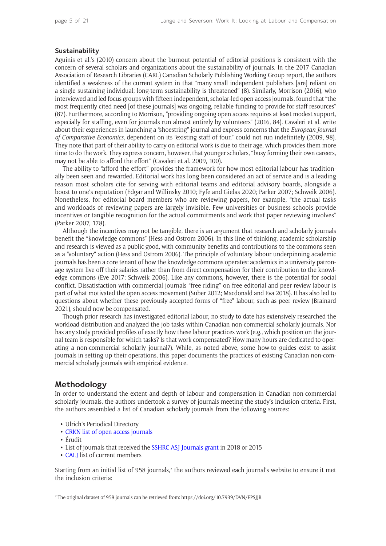# **Sustainability**

Aguinis et al.'s (2010) concern about the burnout potential of editorial positions is consistent with the concern of several scholars and organizations about the sustainability of journals. In the 2017 Canadian Association of Research Libraries (CARL) Canadian Scholarly Publishing Working Group report, the authors identified a weakness of the current system in that "many small independent publishers [are] reliant on a single sustaining individual; long-term sustainability is threatened" (8). Similarly, Morrison (2016), who interviewed and led focus groups with fifteen independent, scholar-led open access journals, found that "the most frequently cited need [of these journals] was ongoing, reliable funding to provide for staff resources" (87). Furthermore, according to Morrison, "providing ongoing open access requires at least modest support, especially for staffing, even for journals run almost entirely by volunteers" (2016, 84). Cavaleri et al. write about their experiences in launching a "shoestring" journal and express concerns that the *European Journal of Comparative Economics*, dependent on its "existing staff of four," could not run indefinitely (2009, 98). They note that part of their ability to carry on editorial work is due to their age, which provides them more time to do the work. They express concern, however, that younger scholars, "busy forming their own careers, may not be able to afford the effort" (Cavaleri et al. 2009, 100).

The ability to "afford the effort" provides the framework for how most editorial labour has traditionally been seen and rewarded. Editorial work has long been considered an act of service and is a leading reason most scholars cite for serving with editorial teams and editorial advisory boards, alongside a boost to one's reputation (Edgar and Willinsky 2010; Fyfe and Gielas 2020; Parker 2007; Schweik 2006). Nonetheless, for editorial board members who are reviewing papers, for example, "the actual tasks and workloads of reviewing papers are largely invisible. Few universities or business schools provide incentives or tangible recognition for the actual commitments and work that paper reviewing involves" (Parker 2007, 178).

Although the incentives may not be tangible, there is an argument that research and scholarly journals benefit the "knowledge commons" (Hess and Ostrom 2006). In this line of thinking, academic scholarship and research is viewed as a public good, with community benefits and contributions to the commons seen as a "voluntary" action (Hess and Ostrom 2006). The principle of voluntary labour underpinning academic journals has been a core tenant of how the knowledge commons operates: academics in a university patronage system live off their salaries rather than from direct compensation for their contribution to the knowledge commons (Eve 2017; Schweik 2006). Like any commons, however, there is the potential for social conflict. Dissatisfaction with commercial journals "free riding" on free editorial and peer review labour is part of what motivated the open access movement (Suber 2012; Macdonald and Eva 2018). It has also led to questions about whether these previously accepted forms of "free" labour, such as peer review (Brainard 2021), should now be compensated.

Though prior research has investigated editorial labour, no study to date has extensively researched the workload distribution and analyzed the job tasks within Canadian non-commercial scholarly journals. Nor has any study provided profiles of exactly how these labour practices work (e.g., which position on the journal team is responsible for which tasks? Is that work compensated? How many hours are dedicated to operating a non-commercial scholarly journal?). While, as noted above, some how-to guides exist to assist journals in setting up their operations, this paper documents the practices of existing Canadian non-commercial scholarly journals with empirical evidence.

# **Methodology**

In order to understand the extent and depth of labour and compensation in Canadian non-commercial scholarly journals, the authors undertook a survey of journals meeting the study's inclusion criteria. First, the authors assembled a list of Canadian scholarly journals from the following sources:

- Ulrich's Periodical Directory
- CRKN lis[t of open access journals](https://www.crkn-rcdr.ca/en/crkn-open-access-journals-list)
- Érudit
- List of journals that received the [SSHRC ASJ Journals grant](http://www.outil.ost.uqam.ca/CRSH/RechProj.aspx?vLangue=Anglais) in 2018 or 2015
- CALI list of current members

Starting from an initial list of 958 journals, $2$  the authors reviewed each journal's website to ensure it met the inclusion criteria:

<sup>2</sup> The original dataset of 958 journals can be retrieved from: [https://doi.org/10.7939/DVN/EPSJJR.](https://doi.org/10.7939/DVN/EPSJJR)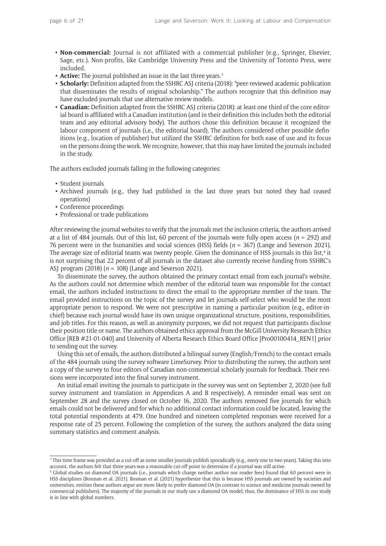- **Non-commercial:** Journal is not affiliated with a commercial publisher (e.g., Springer, Elsevier, Sage, etc.). Non-profits, like Cambridge University Press and the University of Toronto Press, were included.
- **Active:** The journal published an issue in the last three years.<sup>3</sup>
- **Scholarly:** Definition adapted from the SSHRC ASJ criteria (2018): "peer-reviewed academic publication that disseminates the results of original scholarship." The authors recognize that this definition may have excluded journals that use alternative review models.
- **Canadian:** Definition adapted from the SSHRC ASJ criteria (2018): at least one third of the core editorial board is affiliated with a Canadian institution (and in their definition this includes both the editorial team and any editorial advisory body). The authors chose this definition because it recognized the labour component of journals (i.e., the editorial board). The authors considered other possible definitions (e.g., location of publisher) but utilized the SSHRC definition for both ease of use and its focus on the persons doing the work. We recognize, however, that this may have limited the journals included in the study.

The authors excluded journals falling in the following categories:

- Student journals
- Archived journals (e.g., they had published in the last three years but noted they had ceased operations)
- Conference proceedings
- Professional or trade publications

After reviewing the journal websites to verify that the journals met the inclusion criteria, the authors arrived at a list of 484 journals. Out of this list, 60 percent of the journals were fully open access (*n* = 292) and 76 percent were in the humanities and social sciences (HSS) fields (*n* = 367) (Lange and Severson 2021). The average size of editorial teams was twenty people. Given the dominance of HSS journals in this list,<sup>4</sup> it is not surprising that 22 percent of all journals in the dataset also currently receive funding from SSHRC's ASJ program (2018) (*n* = 108) (Lange and Severson 2021).

To disseminate the survey, the authors obtained the primary contact email from each journal's website. As the authors could not determine which member of the editorial team was responsible for the contact email, the authors included instructions to direct the email to the appropriate member of the team. The email provided instructions on the topic of the survey and let journals self-select who would be the most appropriate person to respond. We were not prescriptive in naming a particular position (e.g., editor-inchief) because each journal would have its own unique organizational structure, positions, responsibilities, and job titles. For this reason, as well as anonymity purposes, we did not request that participants disclose their position title or name. The authors obtained ethics approval from the McGill University Research Ethics Office [REB #21-01-040] and University of Alberta Research Ethics Board Office [Pro00100414\_REN1] prior to sending out the survey.

Using this set of emails, the authors distributed a bilingual survey (English/French) to the contact emails of the 484 journals using the survey software LimeSurvey. Prior to distributing the survey, the authors sent a copy of the survey to four editors of Canadian non-commercial scholarly journals for feedback. Their revisions were incorporated into the final survey instrument.

An initial email inviting the journals to participate in the survey was sent on September 2, 2020 (see full survey instrument and translation in Appendices A and B respectively). A reminder email was sent on September 28 and the survey closed on October 16, 2020. The authors removed five journals for which emails could not be delivered and for which no additional contact information could be located, leaving the total potential respondents at 479. One hundred and nineteen completed responses were received for a response rate of 25 percent. Following the completion of the survey, the authors analyzed the data using summary statistics and comment analysis.

<sup>3</sup> This time frame was provided as a cut-off as some smaller journals publish sporadically (e.g., every one to two years). Taking this into account, the authors felt that three years was a reasonable cut-off point to determine if a journal was still active.

<sup>4</sup> Global studies on diamond OA journals (i.e., journals which charge neither author nor reader fees) found that 60 percent were in HSS disciplines (Bosman et al. 2021). Bosman et al. (2021) hypothesize that this is because HSS journals are owned by societies and universities, entities these authors argue are more likely to prefer diamond OA (in contrast to science and medicine journals owned by commercial publishers). The majority of the journals in our study use a diamond OA model; thus, the dominance of HSS in our study is in line with global numbers.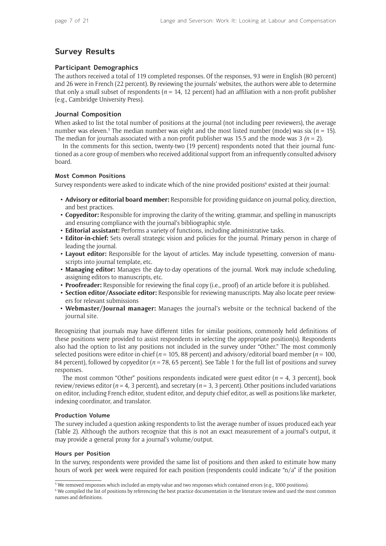# **Survey Results**

# **Participant Demographics**

The authors received a total of 119 completed responses. Of the responses, 93 were in English (80 percent) and 26 were in French (22 percent). By reviewing the journals' websites, the authors were able to determine that only a small subset of respondents ( $n = 14$ , 12 percent) had an affiliation with a non-profit publisher (e.g., Cambridge University Press).

## **Journal Composition**

When asked to list the total number of positions at the journal (not including peer reviewers), the average number was eleven.<sup>5</sup> The median number was eight and the most listed number (mode) was six ( $n = 15$ ). The median for journals associated with a non-profit publisher was 15.5 and the mode was  $3 (n = 2)$ .

In the comments for this section, twenty-two (19 percent) respondents noted that their journal functioned as a core group of members who received additional support from an infrequently consulted advisory board.

#### **Most Common Positions**

Survey respondents were asked to indicate which of the nine provided positions<sup>6</sup> existed at their journal:

- **Advisory or editorial board member:** Responsible for providing guidance on journal policy, direction, and best practices.
- **Copyeditor:** Responsible for improving the clarity of the writing, grammar, and spelling in manuscripts and ensuring compliance with the journal's bibliographic style.
- **Editorial assistant:** Performs a variety of functions, including administrative tasks.
- **Editor-in-chief:** Sets overall strategic vision and policies for the journal. Primary person in charge of leading the journal.
- **Layout editor:** Responsible for the layout of articles. May include typesetting, conversion of manuscripts into journal template, etc.
- **Managing editor:** Manages the day-to-day operations of the journal. Work may include scheduling, assigning editors to manuscripts, etc.
- **Proofreader:** Responsible for reviewing the final copy (i.e., proof) of an article before it is published.
- **Section editor/Associate editor:** Responsible for reviewing manuscripts. May also locate peer reviewers for relevant submissions
- **Webmaster/Journal manager:** Manages the journal's website or the technical backend of the journal site.

Recognizing that journals may have different titles for similar positions, commonly held definitions of these positions were provided to assist respondents in selecting the appropriate position(s). Respondents also had the option to list any positions not included in the survey under "Other." The most commonly selected positions were editor-in-chief (*n* = 105, 88 percent) and advisory/editorial board member (*n* = 100, 84 percent), followed by copyeditor (*n* = 78, 65 percent). See Table 1 for the full list of positions and survey responses.

The most common "Other" positions respondents indicated were guest editor ( $n = 4$ , 3 percent), book review/reviews editor ( $n = 4$ , 3 percent), and secretary ( $n = 3$ , 3 percent). Other positions included variations on editor, including French editor, student editor, and deputy chief editor, as well as positions like marketer, indexing coordinator, and translator.

# **Production Volume**

The survey included a question asking respondents to list the average number of issues produced each year (Table 2). Although the authors recognize that this is not an exact measurement of a journal's output, it may provide a general proxy for a journal's volume/output.

#### **Hours per Position**

In the survey, respondents were provided the same list of positions and then asked to estimate how many hours of work per week were required for each position (respondents could indicate "n/a" if the position

<sup>&</sup>lt;sup>5</sup> We removed responses which included an empty value and two responses which contained errors (e.g., 1000 positions).

<sup>6</sup> We compiled the list of positions by referencing the best practice documentation in the literature review and used the most common names and definitions.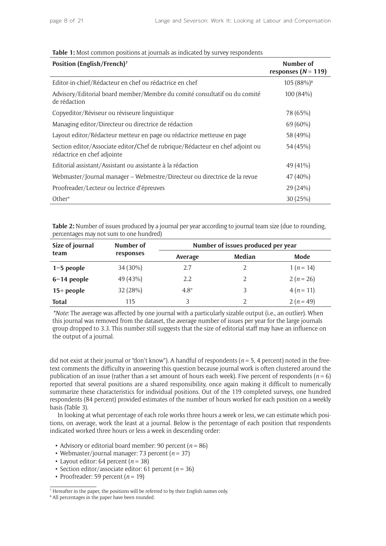| Position (English/French) <sup>7</sup>                                                                       | Number of<br>responses ( $N = 119$ ) |
|--------------------------------------------------------------------------------------------------------------|--------------------------------------|
| Editor-in-chief/Rédacteur en chef ou rédactrice en chef                                                      | 105 (88%) <sup>8</sup>               |
| Advisory/Editorial board member/Membre du comité consultatif ou du comité<br>de rédaction                    | 100 (84%)                            |
| Copyeditor/Réviseur ou réviseure linguistique                                                                | 78 (65%)                             |
| Managing editor/Directeur ou directrice de rédaction                                                         | 69 (60%)                             |
| Layout editor/Rédacteur metteur en page ou rédactrice metteuse en page                                       | 58 (49%)                             |
| Section editor/Associate editor/Chef de rubrique/Rédacteur en chef adjoint ou<br>rédactrice en chef adjointe | 54 (45%)                             |
| Editorial assistant/Assistant ou assistante à la rédaction                                                   | 49 (41%)                             |
| Webmaster/Journal manager - Webmestre/Directeur ou directrice de la revue                                    | 47 (40%)                             |
| Proofreader/Lecteur ou lectrice d'épreuves                                                                   | 29 (24%)                             |
| $Other*$                                                                                                     | 30 (25%)                             |

#### **Table 1:** Most common positions at journals as indicated by survey respondents

**Table 2:** Number of issues produced by a journal per year according to journal team size (due to rounding, percentages may not sum to one hundred)

| Size of journal | Number of | Number of issues produced per year |        |           |  |
|-----------------|-----------|------------------------------------|--------|-----------|--|
| team            | responses | Average                            | Median | Mode      |  |
| $1-5$ people    | 34 (30%)  | 2.7                                | 2      | $1(n=14)$ |  |
| $6-14$ people   | 49 (43%)  | 2.2                                | 2      | $2(n=26)$ |  |
| $15+$ people    | 32 (28%)  | $4.8*$                             | 3      | $4(n=11)$ |  |
| <b>Total</b>    | 115       | 3                                  |        | $2(n=49)$ |  |

*\*Note*: The average was affected by one journal with a particularly sizable output (i.e., an outlier). When this journal was removed from the dataset, the average number of issues per year for the large journals group dropped to 3.3. This number still suggests that the size of editorial staff may have an influence on the output of a journal.

did not exist at their journal or "don't know"). A handful of respondents (*n* = 5, 4 percent) noted in the freetext comments the difficulty in answering this question because journal work is often clustered around the publication of an issue (rather than a set amount of hours each week). Five percent of respondents ( $n = 6$ ) reported that several positions are a shared responsibility, once again making it difficult to numerically summarize these characteristics for individual positions. Out of the 119 completed surveys, one hundred respondents (84 percent) provided estimates of the number of hours worked for each position on a weekly basis (Table 3).

In looking at what percentage of each role works three hours a week or less, we can estimate which positions, on average, work the least at a journal. Below is the percentage of each position that respondents indicated worked three hours or less a week in descending order:

- Advisory or editorial board member: 90 percent  $(n = 86)$
- Webmaster/journal manager: 73 percent (*n* = 37)
- Layout editor: 64 percent  $(n = 38)$
- Section editor/associate editor: 61 percent (*n* = 36)
- Proofreader: 59 percent  $(n = 19)$

<sup>7</sup> Hereafter in the paper, the positions will be referred to by their English names only.

<sup>&</sup>lt;sup>8</sup> All percentages in the paper have been rounded.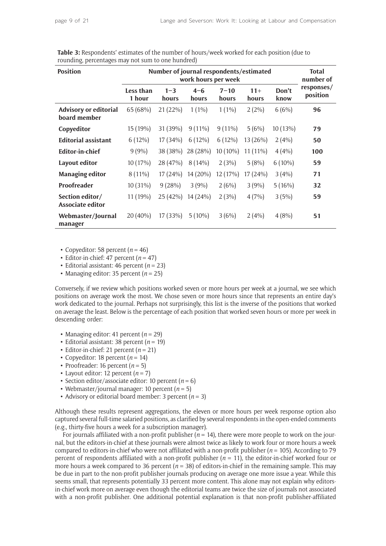| <b>Position</b>                              |                     | Number of journal respondents/estimated | work hours per week |                   |                |               | <b>Total</b><br>number of |
|----------------------------------------------|---------------------|-----------------------------------------|---------------------|-------------------|----------------|---------------|---------------------------|
|                                              | Less than<br>1 hour | $1 - 3$<br>hours                        | $4 - 6$<br>hours    | $7 - 10$<br>hours | $11+$<br>hours | Don't<br>know | responses/<br>position    |
| <b>Advisory or editorial</b><br>board member | 65 (68%)            | 21(22%)                                 | $1(1\%)$            | $1(1\%)$          | $2(2\%)$       | 6(6%)         | 96                        |
| Copyeditor                                   | 15 (19%)            | 31(39%)                                 | $9(11\%)$           | $9(11\%)$         | 5(6%)          | 10(13%)       | 79                        |
| <b>Editorial assistant</b>                   | $6(12\%)$           | $17(34\%)$                              | $6(12\%)$           | $6(12\%)$         | 13(26%)        | 2(4%)         | 50                        |
| <b>Editor-in-chief</b>                       | 9(9%                | 38 (38%)                                | 28 (28%)            | $10(10\%)$        | $11(11\%)$     | 4(4%)         | 100                       |
| Layout editor                                | 10 (17%)            | 28 (47%)                                | $8(14\%)$           | 2(3%)             | 5(8%)          | $6(10\%)$     | 59                        |
| <b>Managing editor</b>                       | $8(11\%)$           | 17(24%)                                 | 14 (20%)            | 12 (17%)          | 17(24%)        | 3(4%)         | 71                        |
| <b>Proofreader</b>                           | $10(31\%)$          | 9(28%)                                  | 3(9%)               | 2(6%)             | 3(9%)          | 5(16%)        | 32                        |
| Section editor/<br>Associate editor          | 11 (19%)            | 25(42%)                                 | 14(24%)             | 2(3%)             | 4(7%)          | 3(5%)         | 59                        |
| Webmaster/Journal<br>manager                 | $20(40\%)$          | 17 (33%)                                | $5(10\%)$           | 3(6%)             | 2(4%)          | 4(8%)         | 51                        |

| <b>Table 3:</b> Respondents' estimates of the number of hours/week worked for each position (due to |  |
|-----------------------------------------------------------------------------------------------------|--|
| rounding, percentages may not sum to one hundred)                                                   |  |

• Copyeditor: 58 percent  $(n = 46)$ 

• Editor-in-chief: 47 percent  $(n = 47)$ 

• Editorial assistant: 46 percent (*n* = 23)

• Managing editor: 35 percent  $(n = 25)$ 

Conversely, if we review which positions worked seven or more hours per week at a journal, we see which positions on average work the most. We chose seven or more hours since that represents an entire day's work dedicated to the journal. Perhaps not surprisingly, this list is the inverse of the positions that worked on average the least. Below is the percentage of each position that worked seven hours or more per week in descending order:

- Managing editor: 41 percent  $(n = 29)$
- Editorial assistant: 38 percent (*n* = 19)
- Editor-in-chief: 21 percent  $(n = 21)$
- Copyeditor: 18 percent  $(n = 14)$
- Proofreader: 16 percent  $(n = 5)$
- Layout editor: 12 percent  $(n = 7)$
- Section editor/associate editor: 10 percent  $(n = 6)$
- Webmaster/journal manager: 10 percent  $(n = 5)$
- Advisory or editorial board member: 3 percent  $(n = 3)$

Although these results represent aggregations, the eleven or more hours per week response option also captured several full-time salaried positions, as clarified by several respondents in the open-ended comments (e.g., thirty-five hours a week for a subscription manager).

For journals affiliated with a non-profit publisher  $(n = 14)$ , there were more people to work on the journal, but the editors-in-chief at these journals were almost twice as likely to work four or more hours a week compared to editors-in-chief who were not affiliated with a non-profit publisher (*n* = 105). According to 79 percent of respondents affiliated with a non-profit publisher  $(n = 11)$ , the editor-in-chief worked four or more hours a week compared to 36 percent  $(n = 38)$  of editors-in-chief in the remaining sample. This may be due in part to the non-profit publisher journals producing on average one more issue a year. While this seems small, that represents potentially 33 percent more content. This alone may not explain why editorsin-chief work more on average even though the editorial teams are twice the size of journals not associated with a non-profit publisher. One additional potential explanation is that non-profit publisher-affiliated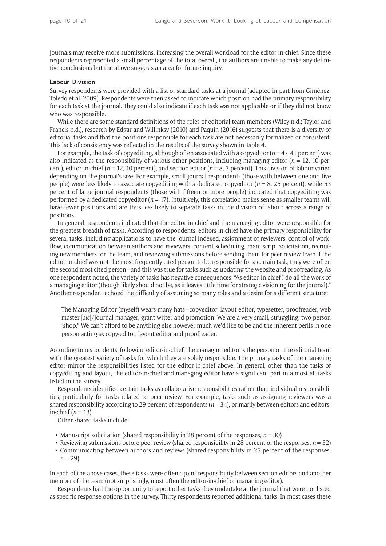journals may receive more submissions, increasing the overall workload for the editor-in-chief. Since these respondents represented a small percentage of the total overall, the authors are unable to make any definitive conclusions but the above suggests an area for future inquiry.

#### **Labour Division**

Survey respondents were provided with a list of standard tasks at a journal (adapted in part from Giménez-Toledo et al. 2009). Respondents were then asked to indicate which position had the primary responsibility for each task at the journal. They could also indicate if each task was not applicable or if they did not know who was responsible.

While there are some standard definitions of the roles of editorial team members (Wiley n.d.; Taylor and Francis n.d.), research by Edgar and Willinksy (2010) and Paquin (2016) suggests that there is a diversity of editorial tasks and that the positions responsible for each task are not necessarily formalized or consistent. This lack of consistency was reflected in the results of the survey shown in Table 4.

For example, the task of copyediting, although often associated with a copyeditor  $(n = 47, 41)$  percent) was also indicated as the responsibility of various other positions, including managing editor (*n* = 12, 10 percent), editor-in-chief (*n* = 12, 10 percent), and section editor (*n* = 8, 7 percent). This division of labour varied depending on the journal's size. For example, small journal respondents (those with between one and five people) were less likely to associate copyediting with a dedicated copyeditor (*n* = 8, 25 percent), while 53 percent of large journal respondents (those with fifteen or more people) indicated that copyediting was performed by a dedicated copyeditor  $(n = 17)$ . Intuitively, this correlation makes sense as smaller teams will have fewer positions and are thus less likely to separate tasks in the division of labour across a range of positions.

In general, respondents indicated that the editor-in-chief and the managing editor were responsible for the greatest breadth of tasks. According to respondents, editors-in-chief have the primary responsibility for several tasks, including applications to have the journal indexed, assignment of reviewers, control of workflow, communication between authors and reviewers, content scheduling, manuscript solicitation, recruiting new members for the team, and reviewing submissions before sending them for peer review. Even if the editor-in-chief was not the most frequently cited person to be responsible for a certain task, they were often the second most cited person—and this was true for tasks such as updating the website and proofreading. As one respondent noted, the variety of tasks has negative consequences: "As editor-in-chief I do all the work of a managing editor (though likely should not be, as it leaves little time for strategic visioning for the journal)." Another respondent echoed the difficulty of assuming so many roles and a desire for a different structure:

The Managing Editor (myself) wears many hats—copyeditor, layout editor, typesetter, proofreader, web master [*sic*]/journal manager, grant writer and promotion. We are a very small, struggling, two-person "shop." We can't afford to be anything else however much we'd like to be and the inherent perils in one person acting as copy-editor, layout editor and proofreader.

According to respondents, following editor-in-chief, the managing editor is the person on the editorial team with the greatest variety of tasks for which they are solely responsible. The primary tasks of the managing editor mirror the responsibilities listed for the editor-in-chief above. In general, other than the tasks of copyediting and layout, the editor-in-chief and managing editor have a significant part in almost all tasks listed in the survey.

Respondents identified certain tasks as collaborative responsibilities rather than individual responsibilities, particularly for tasks related to peer review. For example, tasks such as assigning reviewers was a shared responsibility according to 29 percent of respondents  $(n=34)$ , primarily between editors and editorsin-chief  $(n = 13)$ .

Other shared tasks include:

- Manuscript solicitation (shared responsibility in 28 percent of the responses,  $n = 30$ )
- Reviewing submissions before peer review (shared responsibility in 28 percent of the responses,  $n = 32$ )
- Communicating between authors and reviews (shared responsibility in 25 percent of the responses,  $n = 29$

In each of the above cases, these tasks were often a joint responsibility between section editors and another member of the team (not surprisingly, most often the editor-in-chief or managing editor).

Respondents had the opportunity to report other tasks they undertake at the journal that were not listed as specific response options in the survey. Thirty respondents reported additional tasks. In most cases these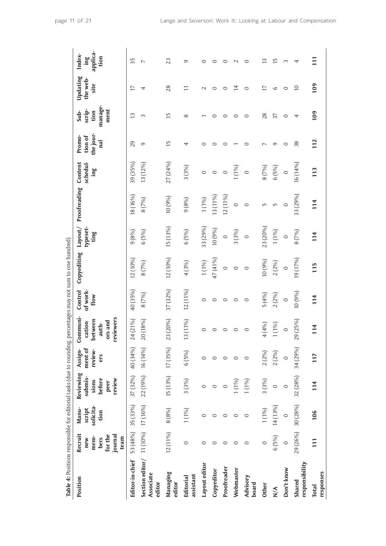| Table 4: Positions responsible for editorial tasks (due to rounding, |                                                              |                                      |                                                           |                                      |                                                                |                             | percentages may not sum to one hundred) |                             |              |                            |                                       |                                           |                              |                                            |
|----------------------------------------------------------------------|--------------------------------------------------------------|--------------------------------------|-----------------------------------------------------------|--------------------------------------|----------------------------------------------------------------|-----------------------------|-----------------------------------------|-----------------------------|--------------|----------------------------|---------------------------------------|-------------------------------------------|------------------------------|--------------------------------------------|
| Position                                                             | Recruit<br>for the<br>journal<br>mem-<br>team<br>bers<br>new | solicita-<br>Manu-<br>script<br>tion | Reviewing<br>submis-<br>before<br>review<br>sions<br>peer | ment of<br>review-<br>Assign-<br>ers | Communi-<br>reviewers<br>between<br>ors and<br>cation<br>auth- | of work-<br>Control<br>flow | Copyediting                             | typeset-<br>Layout/<br>ting | Proofreading | Content<br>schedul-<br>ing | the jour-<br>tion of<br>Promo-<br>nal | manage-<br>scrip-<br>ment<br>Sub-<br>tion | Updating<br>the web-<br>site | applica-<br>Index-<br>tion<br>$\mathbf{m}$ |
| Editor-in-chief                                                      | 53 (48%)                                                     | 35 (33%)                             | 37 (32%)                                                  | 40 (34%)                             | 24 (21%)                                                       | 40 (35%)                    | 12 (10%)                                | 9(8%)                       | 18(16%)      | 39 (35%)                   | 29                                    | 13                                        | 17                           | 35                                         |
| Section editor/ 11 (10%) 17 (16%)<br>Associate<br>editor             |                                                              |                                      | 22 (19%)                                                  | 16 (14%)                             | 20 (18%)                                                       | 8(7%)                       | 8(7%)                                   | 6(5%)                       | 8(7%)        | 13 (12%)                   | 9                                     | 3                                         | 4                            | $\overline{ }$                             |
| Managing<br>editor                                                   | 12 (11%)                                                     | 8(8%)                                | 15 (13%)                                                  | 17 (15%)                             | 23 (20%)<br>$\sim$                                             | 37 (32%)                    | 12 (10%)                                | 15(13%)                     | 10(9%)       | 27 (24%)                   | 15                                    | $\overline{1}$                            | 28                           | 23                                         |
| assistant<br>Editorial                                               | $\circ$                                                      | 1(1%)                                | 3(3%)                                                     | 6(5%)                                | 3(11%)                                                         | 12 (11%)                    | 4(3%)                                   | 6(5%)                       | 9(8%)        | 3(3%)                      | 4                                     | $^{\circ}$                                | Ξ                            | 9                                          |
| Layout editor                                                        | $\circ$                                                      | $\circ$                              | $\circ$                                                   | $\circ$                              | $\circ$                                                        | $\circ$                     | 1(1%)                                   | 33 (29%)                    | $1(1\%)$     | $\circ$                    | 0                                     |                                           | $\mathbf 2$                  | $\circ$                                    |
| Copyeditor                                                           | $\circ$                                                      | $\circ$                              | $\circ$                                                   | $\circ$                              | $\circ$                                                        | $\circ$                     | 47 (41%)                                | 10(9%)                      | 13 (11%)     | $\circ$                    | 0                                     | $\circ$                                   | $\circ$                      | $\circ$                                    |
| Proofreader                                                          | $\circ$                                                      | $\circ$                              | O                                                         | $\circ$                              | $\circ$                                                        | $\circ$                     | $\circ$                                 | $\circ$                     | 12(11%)      | $\circ$                    | $\circ$                               | $\circ$                                   | $\circ$                      | $\circ$                                    |
| Webmaster                                                            | $\circ$                                                      | $\circ$                              | 1(1%)                                                     | $\circ$                              | $\circ$                                                        | 0                           | $\circ$                                 | 3(3%)                       | $\circ$      | 1(1%)                      |                                       | $\circ$                                   | $\overline{4}$               | $\mathbf{C}$                               |
| Advisory<br>board                                                    | $\circ$                                                      | $\circ$                              | 1(1%)                                                     | $\circ$                              | $\circ$                                                        | $\circ$                     | $\circ$                                 | $\circ$                     | $\circ$      | $\circ$                    | 0                                     | $\circ$                                   | $\circ$                      | $\circ$                                    |
| <b>Other</b>                                                         | $\circ$                                                      | $1(1\%)$                             | 3(3%)                                                     | 2(2%)                                | 4 (4%)                                                         | 5(4%)                       | 10(9%)                                  | 23 (20%)                    | Б            | 8(7%)                      | ↖                                     | 28                                        | 17                           | $\overline{13}$                            |
| $\sum_{i=1}^{n}$                                                     | 6(5%)                                                        | 14 (13%)                             | $\circ$                                                   | 2(2%)                                | $1(1\%)$                                                       | 2(2%)                       | 2(2%)                                   | 1(1%)                       | Б            | 6(5%)                      | ത                                     | 37                                        | 6                            | 15                                         |
| Don't know                                                           | $\circ$                                                      | $\circ$                              | $\circ$                                                   | $\circ$                              | $\circ$                                                        | $\circ$                     | $\circ$                                 | $\circ$                     | $\circ$      | $\circ$                    | 0                                     | $\circ$                                   | $\circ$                      | 3                                          |
| responsibility<br>Shared                                             | 29 (26%)                                                     | 30 (28%)                             | 32 (28%)                                                  | 34 (29%)                             | 29 (25%)<br>$\sim$                                             | 10 (9%)                     | 19 (17%)                                | 8(7%)                       | 33 (29%)     | 16 (14%)                   | 38                                    | 4                                         | $\overline{10}$              | 4                                          |
| responses<br><b>Total</b>                                            | 111                                                          | 106                                  | 114                                                       | 117                                  | 114                                                            | 114                         | 115                                     | 114                         | 114          | 113                        | 112                                   | 109                                       | 109                          | 111                                        |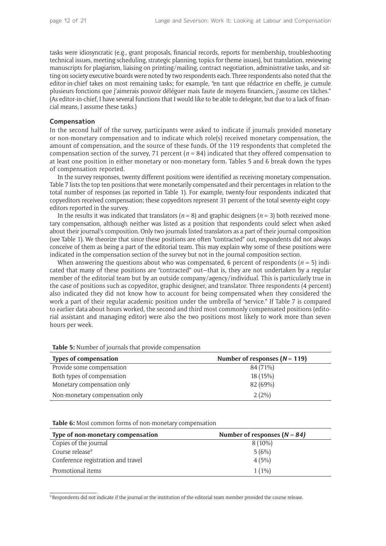tasks were idiosyncratic (e.g., grant proposals, financial records, reports for membership, troubleshooting technical issues, meeting scheduling, strategic planning, topics for theme issues), but translation, reviewing manuscripts for plagiarism, liaising on printing/mailing, contract negotiation, administrative tasks, and sitting on society executive boards were noted by two respondents each. Three respondents also noted that the editor-in-chief takes on most remaining tasks; for example, "en tant que rédactrice en cheffe, je cumule plusieurs fonctions que j'aimerais pouvoir déléguer mais faute de moyens financiers, j'assume ces tâches." (As editor-in-chief, I have several functions that I would like to be able to delegate, but due to a lack of financial means, I assume these tasks.)

#### **Compensation**

In the second half of the survey, participants were asked to indicate if journals provided monetary or non-monetary compensation and to indicate which role(s) received monetary compensation, the amount of compensation, and the source of these funds. Of the 119 respondents that completed the compensation section of the survey, 71 percent (*n* = 84) indicated that they offered compensation to at least one position in either monetary or non-monetary form. Tables 5 and 6 break down the types of compensation reported.

In the survey responses, twenty different positions were identified as receiving monetary compensation. Table 7 lists the top ten positions that were monetarily compensated and their percentages in relation to the total number of responses (as reported in Table 1). For example, twenty-four respondents indicated that copyeditors received compensation; these copyeditors represent 31 percent of the total seventy-eight copyeditors reported in the survey.

In the results it was indicated that translators  $(n = 8)$  and graphic designers  $(n = 3)$  both received monetary compensation, although neither was listed as a position that respondents could select when asked about their journal's composition. Only two journals listed translators as a part of their journal composition (see Table 1). We theorize that since these positions are often "contracted" out, respondents did not always conceive of them as being a part of the editorial team. This may explain why some of these positions were indicated in the compensation section of the survey but not in the journal composition section.

When answering the questions about who was compensated, 6 percent of respondents ( $n = 5$ ) indicated that many of these positions are "contracted" out—that is, they are not undertaken by a regular member of the editorial team but by an outside company/agency/individual. This is particularly true in the case of positions such as copyeditor, graphic designer, and translator. Three respondents (4 percent) also indicated they did not know how to account for being compensated when they considered the work a part of their regular academic position under the umbrella of "service." If Table 7 is compared to earlier data about hours worked, the second and third most commonly compensated positions (editorial assistant and managing editor) were also the two positions most likely to work more than seven hours per week.

**Types of compensation** Number of responses ( $N = 119$ ) Provide some compensation example of the state of the state  $84 (71%)$ Both types of compensation 18 (15%) Monetary compensation only 82 (69%) Non-monetary compensation only 2 (2%)

**Table 5:** Number of journals that provide compensation

**Table 6:** Most common forms of non-monetary compensation

| Type of non-monetary compensation  | Number of responses $(N = 84)$ |
|------------------------------------|--------------------------------|
| Copies of the journal              | $8(10\%)$                      |
| Course release <sup>9</sup>        | 5(6%)                          |
| Conference registration and travel | 4(5%)                          |
| Promotional items                  | $1(1\%)$                       |

9Respondents did not indicate if the journal or the institution of the editorial team member provided the course release.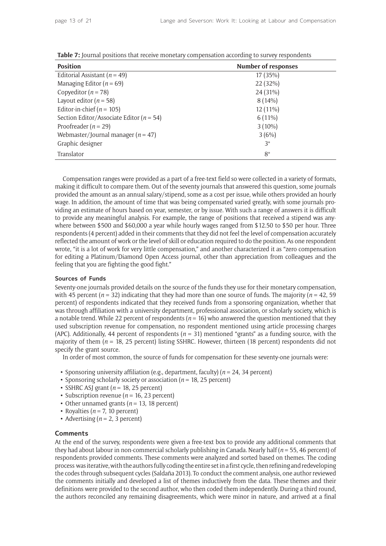| <b>Position</b>                              | <b>Number of responses</b> |
|----------------------------------------------|----------------------------|
| Editorial Assistant ( $n = 49$ )             | 17 (35%)                   |
| Managing Editor ( $n = 69$ )                 | 22 (32%)                   |
| Copyeditor ( $n = 78$ )                      | 24 (31%)                   |
| Layout editor ( $n = 58$ )                   | $8(14\%)$                  |
| Editor-in-chief ( $n = 105$ )                | $12(11\%)$                 |
| Section Editor/Associate Editor ( $n = 54$ ) | $6(11\%)$                  |
| Proofreader ( $n = 29$ )                     | $3(10\%)$                  |
| Webmaster/Journal manager ( $n = 47$ )       | 3(6%)                      |
| Graphic designer                             | $3^*$                      |
| Translator                                   | $8*$                       |

**Table 7:** Journal positions that receive monetary compensation according to survey respondents

Compensation ranges were provided as a part of a free-text field so were collected in a variety of formats, making it difficult to compare them. Out of the seventy journals that answered this question, some journals provided the amount as an annual salary/stipend, some as a cost per issue, while others provided an hourly wage. In addition, the amount of time that was being compensated varied greatly, with some journals providing an estimate of hours based on year, semester, or by issue. With such a range of answers it is difficult to provide any meaningful analysis. For example, the range of positions that received a stipend was anywhere between \$500 and \$60,000 a year while hourly wages ranged from \$12.50 to \$50 per hour. Three respondents (4 percent) added in their comments that they did not feel the level of compensation accurately reflected the amount of work or the level of skill or education required to do the position. As one respondent wrote, "it is a lot of work for very little compensation," and another characterized it as "zero compensation for editing a Platinum/Diamond Open Access journal, other than appreciation from colleagues and the feeling that you are fighting the good fight."

#### **Sources of Funds**

Seventy-one journals provided details on the source of the funds they use for their monetary compensation, with 45 percent ( $n = 32$ ) indicating that they had more than one source of funds. The majority ( $n = 42, 59$ ) percent) of respondents indicated that they received funds from a sponsoring organization, whether that was through affiliation with a university department, professional association, or scholarly society, which is a notable trend. While 22 percent of respondents  $(n = 16)$  who answered the question mentioned that they used subscription revenue for compensation, no respondent mentioned using article processing charges (APC). Additionally, 44 percent of respondents ( $n = 31$ ) mentioned "grants" as a funding source, with the majority of them (*n* = 18, 25 percent) listing SSHRC. However, thirteen (18 percent) respondents did not specify the grant source.

In order of most common, the source of funds for compensation for these seventy-one journals were:

- Sponsoring university affiliation (e.g., department, faculty) (*n* = 24, 34 percent)
- Sponsoring scholarly society or association (*n* = 18, 25 percent)
- SSHRC ASJ grant  $(n = 18, 25$  percent)
- Subscription revenue ( $n = 16, 23$  percent)
- Other unnamed grants ( $n = 13$ , 18 percent)
- Royalties ( $n = 7$ , 10 percent)
- Advertising  $(n = 2, 3$  percent)

#### **Comments**

At the end of the survey, respondents were given a free-text box to provide any additional comments that they had about labour in non-commercial scholarly publishing in Canada. Nearly half (*n* = 55, 46 percent) of respondents provided comments. These comments were analyzed and sorted based on themes. The coding process was iterative, with the authors fully coding the entire set in a first cycle, then refining and redeveloping the codes through subsequent cycles (Saldaña 2013). To conduct the comment analysis, one author reviewed the comments initially and developed a list of themes inductively from the data. These themes and their definitions were provided to the second author, who then coded them independently. During a third round, the authors reconciled any remaining disagreements, which were minor in nature, and arrived at a final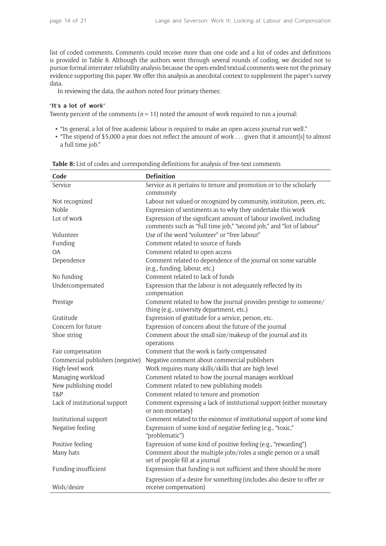list of coded comments. Comments could receive more than one code and a list of codes and definitions is provided in Table 8. Although the authors went through several rounds of coding, we decided not to pursue formal interrater reliability analysis because the open-ended textual comments were not the primary evidence supporting this paper. We offer this analysis as anecdotal context to supplement the paper's survey data.

In reviewing the data, the authors noted four primary themes:

## "**It**'**s a lot of work**"

Twenty percent of the comments  $(n = 11)$  noted the amount of work required to run a journal:

- "In general, a lot of free academic labour is required to make an open-access journal run well."
- "The stipend of \$5,000 a year does not reflect the amount of work . . . given that it amount[s] to almost a full time job."

| Code                             | <b>Definition</b>                                                                                                                         |
|----------------------------------|-------------------------------------------------------------------------------------------------------------------------------------------|
| Service                          | Service as it pertains to tenure and promotion or to the scholarly                                                                        |
|                                  | community                                                                                                                                 |
| Not recognized                   | Labour not valued or recognized by community, institution, peers, etc.                                                                    |
| Noble                            | Expression of sentiments as to why they undertake this work                                                                               |
| Lot of work                      | Expression of the significant amount of labour involved, including<br>comments such as "full time job," "second job," and "lot of labour" |
| Volunteer                        | Use of the word "volunteer" or "free labour"                                                                                              |
| Funding                          | Comment related to source of funds                                                                                                        |
| <b>OA</b>                        | Comment related to open access                                                                                                            |
| Dependence                       | Comment related to dependence of the journal on some variable                                                                             |
|                                  | (e.g., funding, labour, etc.)                                                                                                             |
| No funding                       | Comment related to lack of funds                                                                                                          |
| Undercompensated                 | Expression that the labour is not adequately reflected by its<br>compensation                                                             |
| Prestige                         | Comment related to how the journal provides prestige to someone/<br>thing (e.g., university department, etc.)                             |
| Gratitude                        | Expression of gratitude for a service, person, etc.                                                                                       |
| Concern for future               | Expression of concern about the future of the journal                                                                                     |
| Shoe string                      | Comment about the small size/makeup of the journal and its<br>operations                                                                  |
| Fair compensation                | Comment that the work is fairly compensated                                                                                               |
| Commercial publishers (negative) | Negative comment about commercial publishers                                                                                              |
| High-level work                  | Work requires many skills/skills that are high level                                                                                      |
| Managing workload                | Comment related to how the journal manages workload                                                                                       |
| New publishing model             | Comment related to new publishing models                                                                                                  |
| T&P                              | Comment related to tenure and promotion                                                                                                   |
| Lack of institutional support    | Comment expressing a lack of institutional support (either monetary<br>or non-monetary)                                                   |
| Institutional support            | Comment related to the existence of institutional support of some kind                                                                    |
| Negative feeling                 | Expression of some kind of negative feeling (e.g., "toxic,"<br>"problematic")                                                             |
| Positive feeling                 | Expression of some kind of positive feeling (e.g., "rewarding")                                                                           |
| Many hats                        | Comment about the multiple jobs/roles a single person or a small<br>set of people fill at a journal                                       |
| Funding insufficient             | Expression that funding is not sufficient and there should be more                                                                        |
| Wish/desire                      | Expression of a desire for something (includes also desire to offer or<br>receive compensation)                                           |

**Table 8:** List of codes and corresponding definitions for analysis of free-text comments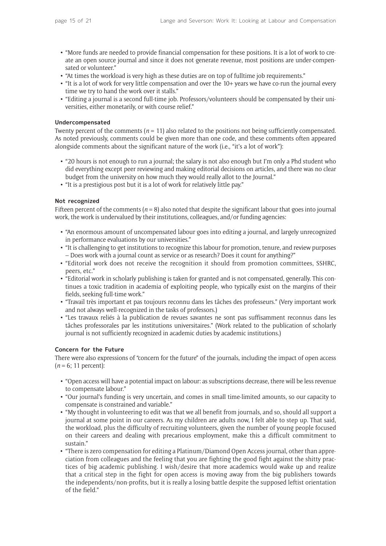- "More funds are needed to provide financial compensation for these positions. It is a lot of work to create an open source journal and since it does not generate revenue, most positions are under-compensated or volunteer."
- "At times the workload is very high as these duties are on top of fulltime job requirements."
- "It is a lot of work for very little compensation and over the 10+ years we have co-run the journal every time we try to hand the work over it stalls."
- "Editing a journal is a second full-time job. Professors/volunteers should be compensated by their universities, either monetarily, or with course relief."

#### **Undercompensated**

Twenty percent of the comments  $(n = 11)$  also related to the positions not being sufficiently compensated. As noted previously, comments could be given more than one code, and these comments often appeared alongside comments about the significant nature of the work (i.e., "it's a lot of work"):

- "20 hours is not enough to run a journal; the salary is not also enough but I'm only a Phd student who did everything except peer reviewing and making editorial decisions on articles, and there was no clear budget from the university on how much they would really allot to the Journal."
- "It is a prestigious post but it is a lot of work for relatively little pay."

#### **Not recognized**

Fifteen percent of the comments  $(n = 8)$  also noted that despite the significant labour that goes into journal work, the work is undervalued by their institutions, colleagues, and/or funding agencies:

- "An enormous amount of uncompensated labour goes into editing a journal, and largely unrecognized in performance evaluations by our universities."
- "It is challenging to get institutions to recognize this labour for promotion, tenure, and review purposes – Does work with a journal count as service or as research? Does it count for anything?"
- "Editorial work does not receive the recognition it should from promotion committees, SSHRC, peers, etc."
- "Editorial work in scholarly publishing is taken for granted and is not compensated, generally. This continues a toxic tradition in academia of exploiting people, who typically exist on the margins of their fields, seeking full-time work."
- "Travail très important et pas toujours reconnu dans les tâches des professeurs." (Very important work and not always well-recognized in the tasks of professors.)
- "Les travaux reliés à la publication de revues savantes ne sont pas suffisamment reconnus dans les tâches professorales par les institutions universitaires." (Work related to the publication of scholarly journal is not sufficiently recognized in academic duties by academic institutions.)

# **Concern for the Future**

There were also expressions of "concern for the future" of the journals, including the impact of open access  $(n = 6; 11$  percent):

- "Open access will have a potential impact on labour: as subscriptions decrease, there will be less revenue to compensate labour."
- "Our journal's funding is very uncertain, and comes in small time-limited amounts, so our capacity to compensate is constrained and variable."
- "My thought in volunteering to edit was that we all benefit from journals, and so, should all support a journal at some point in our careers. As my children are adults now, I felt able to step up. That said, the workload, plus the difficulty of recruiting volunteers, given the number of young people focused on their careers and dealing with precarious employment, make this a difficult commitment to sustain."
- "There is zero compensation for editing a Platinum/Diamond Open Access journal, other than appreciation from colleagues and the feeling that you are fighting the good fight against the shitty practices of big academic publishing. I wish/desire that more academics would wake up and realize that a critical step in the fight for open access is moving away from the big publishers towards the independents/non-profits, but it is really a losing battle despite the supposed leftist orientation of the field."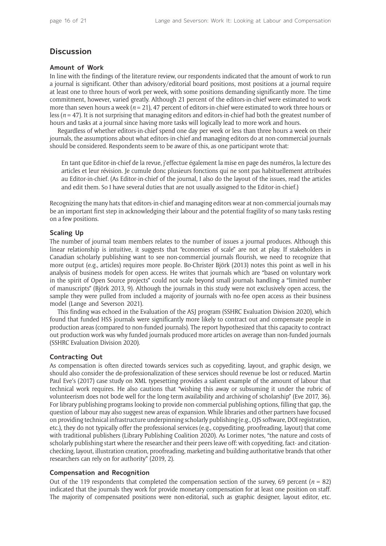# **Discussion**

## **Amount of Work**

In line with the findings of the literature review, our respondents indicated that the amount of work to run a journal is significant. Other than advisory/editorial board positions, most positions at a journal require at least one to three hours of work per week, with some positions demanding significantly more. The time commitment, however, varied greatly. Although 21 percent of the editors-in-chief were estimated to work more than seven hours a week (*n* = 21), 47 percent of editors-in-chief were estimated to work three hours or less (*n* = 47). It is not surprising that managing editors and editors-in-chief had both the greatest number of hours and tasks at a journal since having more tasks will logically lead to more work and hours.

Regardless of whether editors-in-chief spend one day per week or less than three hours a week on their journals, the assumptions about what editors-in-chief and managing editors do at non-commercial journals should be considered. Respondents seem to be aware of this, as one participant wrote that:

En tant que Editor-in-chief de la revue, j'effectue également la mise en page des numéros, la lecture des articles et leur révision. Je cumule donc plusieurs fonctions qui ne sont pas habituellement attribuées au Editor-in-chief. (As Editor-in-chief of the journal, I also do the layout of the issues, read the articles and edit them. So I have several duties that are not usually assigned to the Editor-in-chief.)

Recognizing the many hats that editors-in-chief and managing editors wear at non-commercial journals may be an important first step in acknowledging their labour and the potential fragility of so many tasks resting on a few positions.

# **Scaling Up**

The number of journal team members relates to the number of issues a journal produces. Although this linear relationship is intuitive, it suggests that "economies of scale" are not at play. If stakeholders in Canadian scholarly publishing want to see non-commercial journals flourish, we need to recognize that more output (e.g., articles) requires more people. Bo-Christer Björk (2013) notes this point as well in his analysis of business models for open access. He writes that journals which are "based on voluntary work in the spirit of Open Source projects" could not scale beyond small journals handling a "limited number of manuscripts" (Björk 2013, 9). Although the journals in this study were not exclusively open access, the sample they were pulled from included a majority of journals with no-fee open access as their business model (Lange and Severson 2021).

This finding was echoed in the Evaluation of the ASJ program (SSHRC Evaluation Division 2020), which found that funded HSS journals were significantly more likely to contract out and compensate people in production areas (compared to non-funded journals). The report hypothesized that this capacity to contract out production work was why funded journals produced more articles on average than non-funded journals (SSHRC Evaluation Division 2020).

# **Contracting Out**

As compensation is often directed towards services such as copyediting, layout, and graphic design, we should also consider the de-professionalization of these services should revenue be lost or reduced. Martin Paul Eve's (2017) case study on XML typesetting provides a salient example of the amount of labour that technical work requires. He also cautions that "wishing this away or subsuming it under the rubric of volunteerism does not bode well for the long-term availability and archiving of scholarship" (Eve 2017, 36). For library publishing programs looking to provide non-commercial publishing options, filling that gap, the question of labour may also suggest new areas of expansion. While libraries and other partners have focused on providing technical infrastructure underpinning scholarly publishing (e.g., OJS software, DOI registration, etc.), they do not typically offer the professional services (e.g., copyediting, proofreading, layout) that come with traditional publishers (Library Publishing Coalition 2020). As Lorimer notes, "the nature and costs of scholarly publishing start where the researcher and their peers leave off: with copyediting, fact- and citationchecking, layout, illustration creation, proofreading, marketing and building authoritative brands that other researchers can rely on for authority" (2019, 2).

# **Compensation and Recognition**

Out of the 119 respondents that completed the compensation section of the survey, 69 percent ( $n = 82$ ) indicated that the journals they work for provide monetary compensation for at least one position on staff. The majority of compensated positions were non-editorial, such as graphic designer, layout editor, etc.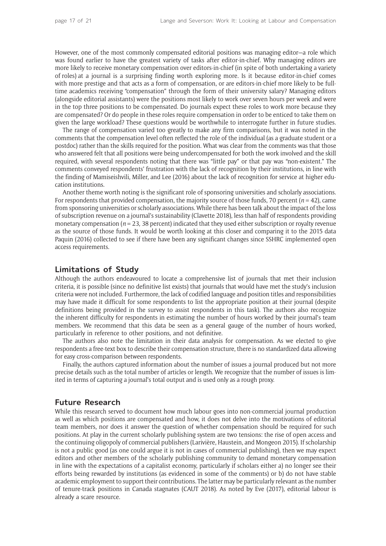However, one of the most commonly compensated editorial positions was managing editor—a role which was found earlier to have the greatest variety of tasks after editor-in-chief. Why managing editors are more likely to receive monetary compensation over editors-in-chief (in spite of both undertaking a variety of roles) at a journal is a surprising finding worth exploring more. Is it because editor-in-chief comes with more prestige and that acts as a form of compensation, or are editors-in-chief more likely to be fulltime academics receiving "compensation" through the form of their university salary? Managing editors (alongside editorial assistants) were the positions most likely to work over seven hours per week and were in the top three positions to be compensated. Do journals expect these roles to work more because they are compensated? Or do people in these roles require compensation in order to be enticed to take them on given the large workload? These questions would be worthwhile to interrogate further in future studies.

The range of compensation varied too greatly to make any firm comparisons, but it was noted in the comments that the compensation level often reflected the role of the individual (as a graduate student or a postdoc) rather than the skills required for the position. What was clear from the comments was that those who answered felt that all positions were being undercompensated for both the work involved and the skill required, with several respondents noting that there was "little pay" or that pay was "non-existent." The comments conveyed respondents' frustration with the lack of recognition by their institutions, in line with the finding of Mamiseishvili, Miller, and Lee (2016) about the lack of recognition for service at higher education institutions.

Another theme worth noting is the significant role of sponsoring universities and scholarly associations. For respondents that provided compensation, the majority source of those funds, 70 percent  $(n = 42)$ , came from sponsoring universities or scholarly associations. While there has been talk about the impact of the loss of subscription revenue on a journal's sustainability (Clavette 2018), less than half of respondents providing monetary compensation ( $n = 23$ , 38 percent) indicated that they used either subscription or royalty revenue as the source of those funds. It would be worth looking at this closer and comparing it to the 2015 data Paquin (2016) collected to see if there have been any significant changes since SSHRC implemented open access requirements.

# **Limitations of Study**

Although the authors endeavoured to locate a comprehensive list of journals that met their inclusion criteria, it is possible (since no definitive list exists) that journals that would have met the study's inclusion criteria were not included. Furthermore, the lack of codified language and position titles and responsibilities may have made it difficult for some respondents to list the appropriate position at their journal (despite definitions being provided in the survey to assist respondents in this task). The authors also recognize the inherent difficulty for respondents in estimating the number of hours worked by their journal's team members. We recommend that this data be seen as a general gauge of the number of hours worked, particularly in reference to other positions, and not definitive.

The authors also note the limitation in their data analysis for compensation. As we elected to give respondents a free-text box to describe their compensation structure, there is no standardized data allowing for easy cross-comparison between respondents.

Finally, the authors captured information about the number of issues a journal produced but not more precise details such as the total number of articles or length. We recognize that the number of issues is limited in terms of capturing a journal's total output and is used only as a rough proxy.

# **Future Research**

While this research served to document how much labour goes into non-commercial journal production as well as which positions are compensated and how, it does not delve into the motivations of editorial team members, nor does it answer the question of whether compensation should be required for such positions. At play in the current scholarly publishing system are two tensions: the rise of open access and the continuing oligopoly of commercial publishers (Larivière, Haustein, and Mongeon 2015). If scholarship is not a public good (as one could argue it is not in cases of commercial publishing), then we may expect editors and other members of the scholarly publishing community to demand monetary compensation in line with the expectations of a capitalist economy, particularly if scholars either a) no longer see their efforts being rewarded by institutions (as evidenced in some of the comments) or b) do not have stable academic employment to support their contributions. The latter may be particularly relevant as the number of tenure-track positions in Canada stagnates (CAUT 2018). As noted by Eve (2017), editorial labour is already a scare resource.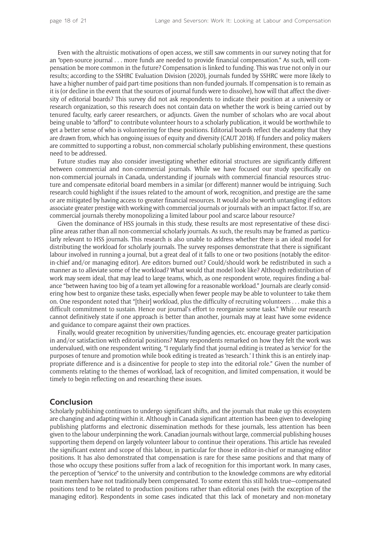Even with the altruistic motivations of open access, we still saw comments in our survey noting that for an "open-source journal . . . more funds are needed to provide financial compensation." As such, will compensation be more common in the future? Compensation is linked to funding. This was true not only in our results; according to the SSHRC Evaluation Division (2020), journals funded by SSHRC were more likely to have a higher number of paid part-time positions than non-funded journals. If compensation is to remain as it is (or decline in the event that the sources of journal funds were to dissolve), how will that affect the diversity of editorial boards? This survey did not ask respondents to indicate their position at a university or research organization, so this research does not contain data on whether the work is being carried out by tenured faculty, early career researchers, or adjuncts. Given the number of scholars who are vocal about being unable to "afford" to contribute volunteer hours to a scholarly publication, it would be worthwhile to get a better sense of who is volunteering for these positions. Editorial boards reflect the academy that they are drawn from, which has ongoing issues of equity and diversity (CAUT 2018). If funders and policy makers are committed to supporting a robust, non-commercial scholarly publishing environment, these questions need to be addressed.

Future studies may also consider investigating whether editorial structures are significantly different between commercial and non-commercial journals. While we have focused our study specifically on non-commercial journals in Canada, understanding if journals with commercial financial resources structure and compensate editorial board members in a similar (or different) manner would be intriguing. Such research could highlight if the issues related to the amount of work, recognition, and prestige are the same or are mitigated by having access to greater financial resources. It would also be worth untangling if editors associate greater prestige with working with commercial journals or journals with an impact factor. If so, are commercial journals thereby monopolizing a limited labour pool and scarce labour resource?

Given the dominance of HSS journals in this study, these results are most representative of these discipline areas rather than all non-commercial scholarly journals. As such, the results may be framed as particularly relevant to HSS journals. This research is also unable to address whether there is an ideal model for distributing the workload for scholarly journals. The survey responses demonstrate that there is significant labour involved in running a journal, but a great deal of it falls to one or two positions (notably the editorin-chief and/or managing editor). Are editors burned out? Could/should work be redistributed in such a manner as to alleviate some of the workload? What would that model look like? Although redistribution of work may seem ideal, that may lead to large teams, which, as one respondent wrote, requires finding a balance "between having too big of a team yet allowing for a reasonable workload." Journals are clearly considering how best to organize these tasks, especially when fewer people may be able to volunteer to take them on. One respondent noted that "[their] workload, plus the difficulty of recruiting volunteers . . . make this a difficult commitment to sustain. Hence our journal's effort to reorganize some tasks." While our research cannot definitively state if one approach is better than another, journals may at least have some evidence and guidance to compare against their own practices.

Finally, would greater recognition by universities/funding agencies, etc. encourage greater participation in and/or satisfaction with editorial positions? Many respondents remarked on how they felt the work was undervalued, with one respondent writing, "I regularly find that journal editing is treated as 'service' for the purposes of tenure and promotion while book editing is treated as 'research.' I think this is an entirely inappropriate difference and is a disincentive for people to step into the editorial role." Given the number of comments relating to the themes of workload, lack of recognition, and limited compensation, it would be timely to begin reflecting on and researching these issues.

# **Conclusion**

Scholarly publishing continues to undergo significant shifts, and the journals that make up this ecosystem are changing and adapting within it. Although in Canada significant attention has been given to developing publishing platforms and electronic dissemination methods for these journals, less attention has been given to the labour underpinning the work. Canadian journals without large, commercial publishing houses supporting them depend on largely volunteer labour to continue their operations. This article has revealed the significant extent and scope of this labour, in particular for those in editor-in-chief or managing editor positions. It has also demonstrated that compensation is rare for these same positions and that many of those who occupy these positions suffer from a lack of recognition for this important work. In many cases, the perception of "service" to the university and contribution to the knowledge commons are why editorial team members have not traditionally been compensated. To some extent this still holds true—compensated positions tend to be related to production positions rather than editorial ones (with the exception of the managing editor). Respondents in some cases indicated that this lack of monetary and non-monetary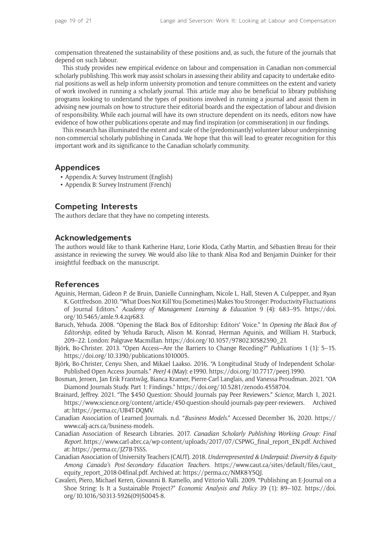compensation threatened the sustainability of these positions and, as such, the future of the journals that depend on such labour.

This study provides new empirical evidence on labour and compensation in Canadian non-commercial scholarly publishing. This work may assist scholars in assessing their ability and capacity to undertake editorial positions as well as help inform university promotion and tenure committees on the extent and variety of work involved in running a scholarly journal. This article may also be beneficial to library publishing programs looking to understand the types of positions involved in running a journal and assist them in advising new journals on how to structure their editorial boards and the expectation of labour and division of responsibility. While each journal will have its own structure dependent on its needs, editors now have evidence of how other publications operate and may find inspiration (or commiseration) in our findings.

This research has illuminated the extent and scale of the (predominantly) volunteer labour underpinning non-commercial scholarly publishing in Canada. We hope that this will lead to greater recognition for this important work and its significance to the Canadian scholarly community.

# **Appendices**

- [Appendix A: Survey Instrument \(English\)](https://kula.uvic.ca/index.php/kula/article/view/151/417)
- [Appendix B: Survey Instrument \(French\)](https://kula.uvic.ca/index.php/kula/article/view/151/418)

# **Competing Interests**

The authors declare that they have no competing interests.

# **Acknowledgements**

The authors would like to thank Katherine Hanz, Lorie Kloda, Cathy Martin, and Sébastien Breau for their assistance in reviewing the survey. We would also like to thank Alisa Rod and Benjamin Duinker for their insightful feedback on the manuscript.

# **References**

- Aguinis, Herman, Gideon P. de Bruin, Danielle Cunningham, Nicole L. Hall, Steven A. Culpepper, and Ryan K. Gottfredson. 2010. "What Does Not Kill You (Sometimes) Makes You Stronger: Productivity Fluctuations of Journal Editors." *Academy of Management Learning & Education* 9 (4): 683–95. [https://doi.](https://doi.org/10.5465/amle.9.4.zqr683) [org/10.5465/amle.9.4.zqr683.](https://doi.org/10.5465/amle.9.4.zqr683)
- Baruch, Yehuda. 2008. "Opening the Black Box of Editorship: Editors' Voice." In *Opening the Black Box of Editorship*, edited by Yehuda Baruch, Alison M. Konrad, Herman Aguinis, and William H. Starbuck, 209–22. London: Palgrave Macmillan. [https://doi.org/10.1057/9780230582590\\_21](https://doi.org/10.1057/9780230582590_21).
- Björk, Bo-Christer. 2013. "Open Access—Are the Barriers to Change Receding?" *Publications* 1 (1): 5–15. <https://doi.org/10.3390/publications1010005>.
- Björk, Bo-Christer, Cenyu Shen, and Mikael Laakso. 2016. "A Longitudinal Study of Independent Scholar-Published Open Access Journals." *PeerJ* 4 (May): e1990. [https://doi.org/10.7717/peerj.1990.](https://doi.org/10.7717/peerj.1990)
- Bosman, Jeroen, Jan Erik Frantsvåg, Bianca Kramer, Pierre-Carl Langlais, and Vanessa Proudman. 2021. "OA Diamond Journals Study. Part 1: Findings." [https://doi.org/10.5281/zenodo.4558704.](https://doi.org/10.5281/zenodo.4558704)
- Brainard, Jeffrey. 2021. "The \$450 Question: Should Journals pay Peer Reviewers." *Science,* March 1, 2021. [https://www.science.org/content/article/450-question-should-journals-pay-peer-reviewers.](https://www.science.org/content/article/450-question-should-journals-pay-peer-reviewers) Archived at: [https://perma.cc/UB4T-DQMV.](https://perma.cc/UB4T-DQMV)
- Canadian Association of Learned Journals. n.d. "*Business Models*." Accessed December 16, 2020. [https://](https://www.calj-acrs.ca/business-models) [www.calj-acrs.ca/business-models](https://www.calj-acrs.ca/business-models).
- Canadian Association of Research Libraries. 2017. *Canadian Scholarly Publishing Working Group: Final Report*. [https://www.carl-abrc.ca/wp-content/uploads/2017/07/CSPWG\\_final\\_report\\_EN.pdf](https://www.carl-abrc.ca/wp-content/uploads/2017/07/CSPWG_final_report_EN.pdf). Archived at: [https://perma.cc/JZ7B-TSSS.](https://perma.cc/JZ7B-TSSS)
- Canadian Association of University Teachers (CAUT). 2018. *Underrepresented & Underpaid: Diversity & Equity Among Canada's Post-Secondary Education Teachers*. [https://www.caut.ca/sites/default/files/caut\\_](https://www.caut.ca/sites/default/files/caut_equity_report_2018-04final.pdf) [equity\\_report\\_2018-04final.pdf](https://www.caut.ca/sites/default/files/caut_equity_report_2018-04final.pdf). Archived at: [https://perma.cc/NMK8-Y5QJ.](https://perma.cc/NMK8-Y5QJ)
- Cavaleri, Piero, Michael Keren, Giovanni B. Ramello, and Vittorio Valli. 2009. "Publishing an E-Journal on a Shoe String: Is It a Sustainable Project?" *Economic Analysis and Policy* 39 (1): 89–102. [https://doi.](https://doi.org/10.1016/S0313-5926(09)50045-8) [org/10.1016/S0313-5926\(09\)50045-8.](https://doi.org/10.1016/S0313-5926(09)50045-8)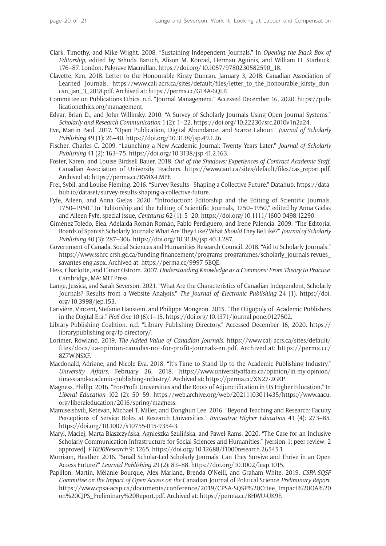- Clark, Timothy, and Mike Wright. 2008. "Sustaining Independent Journals." In *Opening the Black Box of Editorship*, edited by Yehuda Baruch, Alison M. Konrad, Herman Aguinis, and William H. Starbuck, 176–87. London: Palgrave Macmillan. [https://doi.org/10.1057/9780230582590\\_18](https://doi.org/10.1057/9780230582590_18).
- Clavette, Ken. 2018. Letter to the Honourable Kirsty Duncan. January 3, 2018. Canadian Association of Learned Journals. https://www.calj-acrs.ca/sites/default/files/letter to the honourable kirsty dun[can\\_jan\\_3\\_2018.pdf](https://www.calj-acrs.ca/sites/default/files/letter_to_the_honourable_kirsty_duncan_jan_3_2018.pdf). Archived at: <https://perma.cc/GT4A-6QLP>.
- Committee on Publications Ethics. n.d. "Journal Management." Accessed December 16, 2020. [https://pub](https://publicationethics.org/management)[licationethics.org/management](https://publicationethics.org/management).
- Edgar, Brian D., and John Willinsky. 2010. "A Survey of Scholarly Journals Using Open Journal Systems." *Scholarly and Research Communication* 1 (2): 1–22. [https://doi.org/10.22230/src.2010v1n2a24.](https://doi.org/10.22230/src.2010v1n2a24)
- Eve, Martin Paul. 2017. "Open Publication, Digital Abundance, and Scarce Labour." *Journal of Scholarly Publishing* 49 (1): 26–40.<https://doi.org/10.3138/jsp.49.1.26>.
- Fischer, Charles C. 2009. "Launching a New Academic Journal: Twenty Years Later." *Journal of Scholarly Publishing* 41 (2): 163–75. <https://doi.org/10.3138/jsp.41.2.163>.
- Foster, Karen, and Louise Birdsell Bauer. 2018. *Out of the Shadows: Experiences of Contract Academic Staff*. Canadian Association of University Teachers. [https://www.caut.ca/sites/default/files/cas\\_report.pdf](https://www.caut.ca/sites/default/files/cas_report.pdf). Archived at:<https://perma.cc/RV8X-LMPF>.
- Frei, Sybil, and Louise Fleming. 2016. "Survey Results—Shaping a Collective Future." Datahub. [https://data](https://datahub.io/dataset/survey-results-shaping-a-collective-future)[hub.io/dataset/survey-results-shaping-a-collective-future.](https://datahub.io/dataset/survey-results-shaping-a-collective-future)
- Fyfe, Aileen, and Anna Gielas. 2020. "Introduction: Editorship and the Editing of Scientific Journals, 1750–1950." In "Editorship and the Editing of Scientific Journals, 1750–1950," edited by Anna Gielas and Aileen Fyfe, special issue, *Centaurus* 62 (1): 5–20. [https://doi.org/10.1111/1600-0498.12290.](https://doi.org/10.1111/1600-0498.12290)
- Giménez-Toledo, Elea, Adelaida Román-Román, Pablo Perdiguero, and Irene Palencia. 2009. "The Editorial Boards of Spanish Scholarly Journals: What Are They Like? What *Should* They Be Like?"*Journal of Scholarly Publishing* 40 (3): 287–306.<https://doi.org/10.3138/jsp.40.3.287>.
- Government of Canada, Social Sciences and Humanities Research Council. 2018. "Aid to Scholarly Journals*.*" [https://www.sshrc-crsh.gc.ca/funding-financement/programs-programmes/scholarly\\_journals-revues\\_](https://www.sshrc-crsh.gc.ca/funding-financement/programs-programmes/scholarly_journals-revues_savantes-eng.aspx) [savantes-eng.aspx](https://www.sshrc-crsh.gc.ca/funding-financement/programs-programmes/scholarly_journals-revues_savantes-eng.aspx). Archived at: <https://perma.cc/9997-5BQE>.
- Hess, Charlotte, and Elinor Ostrom. 2007. *Understanding Knowledge as a Commons: From Theory to Practice*. Cambridge, MA: MIT Press.
- Lange, Jessica, and Sarah Severson. 2021. "What Are the Characteristics of Canadian Independent, Scholarly Journals? Results from a Website Analysis." *The Journal of Electronic Publishing* 24 (1). [https://doi.](https://doi.org/10.3998/jep.153) [org/10.3998/jep.153.](https://doi.org/10.3998/jep.153)
- Larivière, Vincent, Stefanie Haustein, and Philippe Mongeon. 2015. "The Oligopoly of Academic Publishers in the Digital Era." *PloS One* 10 (6):1–15. [https://doi.org/10.1371/journal.pone.0127502.](https://doi.org/10.1371/journal.pone.0127502)
- Library Publishing Coalition. n.d. "Library Publishing Directory." Accessed December 16, 2020. [https://](https://librarypublishing.org/lp-directory/) [librarypublishing.org/lp-directory/](https://librarypublishing.org/lp-directory/).
- Lorimer, Rowland. 2019. *The Added Value of Canadian Journals*. [https://www.calj-acrs.ca/sites/default/](https://www.calj-acrs.ca/sites/​default/files/docs/ua-opinion-canadas-not-for-profit-journals-en.pdf) [files/docs/ua-opinion-canadas-not-for-profit-journals-en.pdf.](https://www.calj-acrs.ca/sites/​default/files/docs/ua-opinion-canadas-not-for-profit-journals-en.pdf) Archived at: [https://perma.cc/](https://perma.cc/​8Z7W-NSXF) [8Z7W-NSXF](https://perma.cc/​8Z7W-NSXF).
- Macdonald, Adriane, and Nicole Eva. 2018. "It's Time to Stand Up to the Academic Publishing Industry." *University Affairs,* February 26, 2018. [https://www.universityaffairs.ca/opinion/in-my-opinion/](https://www.universityaffairs.ca/opinion/in-my-opinion/time-stand-academic-publishing-industry/) [time-stand-academic-publishing-industry/.](https://www.universityaffairs.ca/opinion/in-my-opinion/time-stand-academic-publishing-industry/) Archived at: [https://perma.cc/XN27-2GKP.](https://perma.cc/XN27-2GKP)
- Magness, Phillip. 2016. "For-Profit Universities and the Roots of Adjunctification in US Higher Education." In *Liberal Education* 102 (2): 50–59. [https://web.archive.org/web/20211103011435/https://www.aacu.](https://web.archive.org/web/20211103011435/https://www.aacu.org/liberaleducation/2016/spring/magness) [org/liberaleducation/2016/spring/magness](https://web.archive.org/web/20211103011435/https://www.aacu.org/liberaleducation/2016/spring/magness).
- Mamiseishvili, Ketevan, Michael T. Miller, and Donghun Lee. 2016. "Beyond Teaching and Research: Faculty Perceptions of Service Roles at Research Universities." *Innovative Higher Education* 41 (4): 273–85. <https://doi.org/10.1007/s10755-015-9354-3>.
- Maryl, Maciej, Marta Błaszczyńska, Agnieszka Szulińska, and Paweł Rams. 2020. "The Case for an Inclusive Scholarly Communication Infrastructure for Social Sciences and Humanities." [version 1; peer review: 2 approved]. *F1000Research* 9: 1265. <https://doi.org/10.12688/f1000research.26545.1>.
- Morrison, Heather. 2016. "Small Scholar-Led Scholarly Journals: Can They Survive and Thrive in an Open Access Future?" *Learned Publishing* 29 (2): 83–88. [https://doi.org/10.1002/leap.1015.](https://doi.org/10.1002/leap.1015)
- Papillon, Martin, Mélanie Bourque, Alex Marland, Brenda O'Neill, and Graham White. 2019. *CSPA-SQSP Committee on the Impact of Open Access on the* Canadian Journal of Political Science *Preliminary Report*. [https://www.cpsa-acsp.ca/documents/conference/2019/CPSA-SQSP%20Cttee\\_Impact%20OA%20](https://www.cpsa-acsp.ca/documents/conference/2019/CPSA-SQSP%20Cttee_Impact%20OA%20on%20CJPS_Preliminary%20Report.pdf) [on%20CJPS\\_Preliminary%20Report.pdf](https://www.cpsa-acsp.ca/documents/conference/2019/CPSA-SQSP%20Cttee_Impact%20OA%20on%20CJPS_Preliminary%20Report.pdf). Archived at:<https://perma.cc/8HWU-UK9F>.